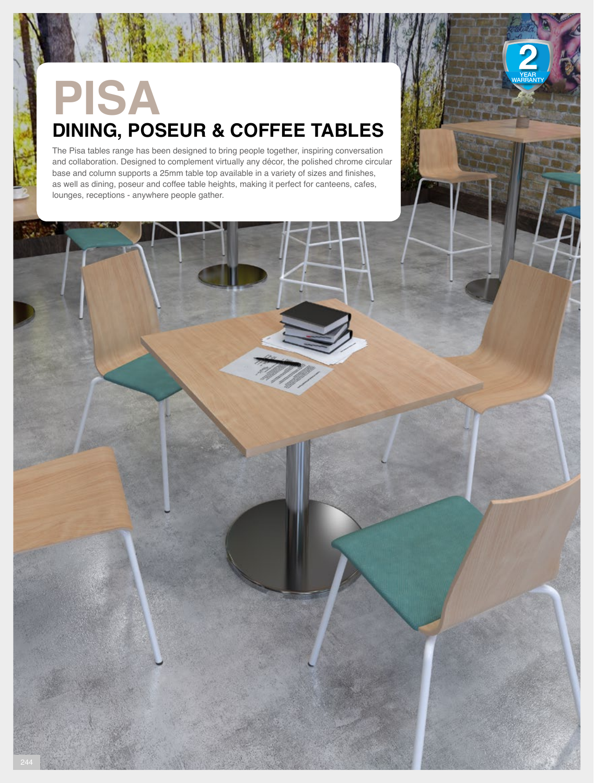# **PISA DINING, POSEUR & COFFEE TABLES**

The Pisa tables range has been designed to bring people together, inspiring conversation and collaboration. Designed to complement virtually any décor, the polished chrome circular base and column supports a 25mm table top available in a variety of sizes and finishes, as well as dining, poseur and coffee table heights, making it perfect for canteens, cafes, lounges, receptions - anywhere people gather.

YEAR WARRANTY

YEAR WARRANTY

YEAR WARRANTY

YEAR WARRANTY YEAR WARRANTY YEAR WARRANTY

YEAR WARRANTY YEAR WARRANTY

YEAR WARRANTY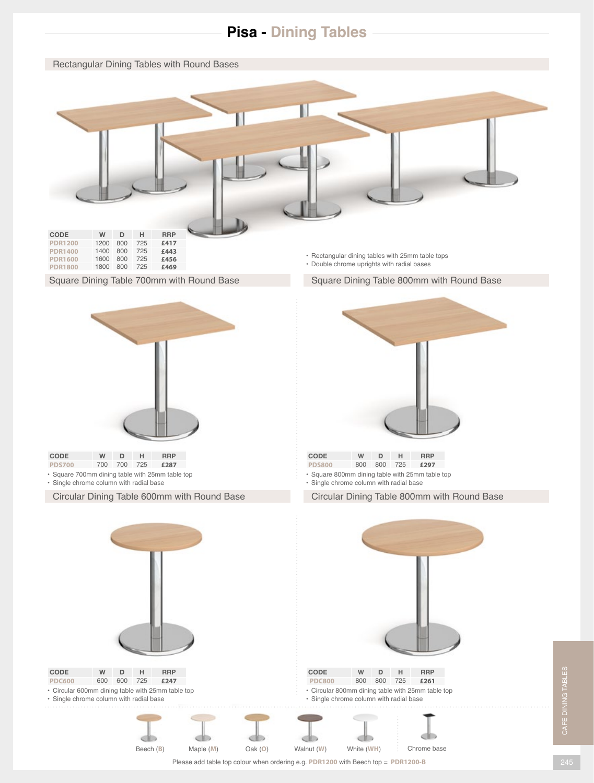# **Pisa - Dining Tables**

Rectangular Dining Tables with Round Bases



### Square Dining Table 700mm with Round Base

• Double chrome uprights with radial bases

Square Dining Table 800mm with Round Base



| <b>CODE</b>                                     | w   | D.      | . н. | <b>RRP</b> |  |
|-------------------------------------------------|-----|---------|------|------------|--|
| <b>PDS700</b>                                   | 700 | 700 725 |      | £287       |  |
| • Square 700mm dining table with 25mm table top |     |         |      |            |  |

• Single chrome column with radial base

Circular Dining Table 600mm with Round Base



- **CODE W D H RRP PDS800** 800 800 725 **£297**
- Square 800mm dining table with 25mm table top
- Single chrome column with radial base

Circular Dining Table 800mm with Round Base



CAFE DINING TABLES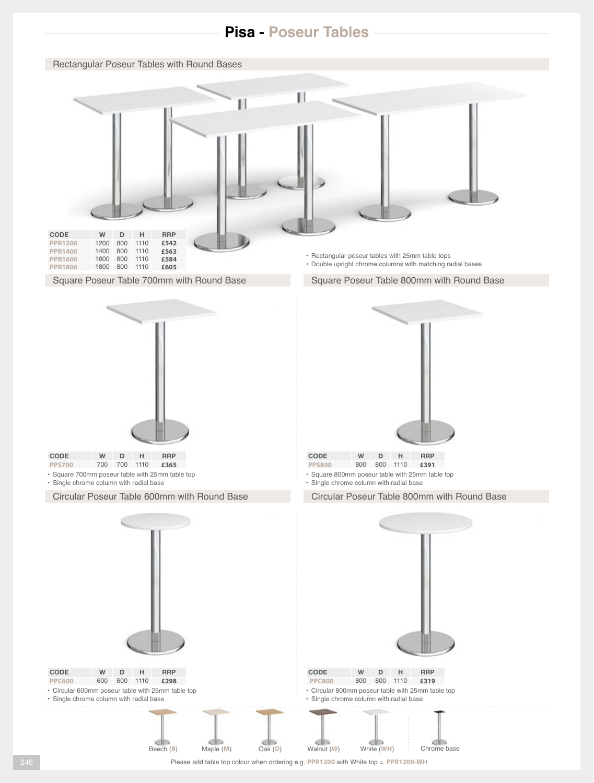## **Pisa - Poseur Tables**







- **CODE W D H RRP PPS700** 700 700 1110 **£365**
- Square 700mm poseur table with 25mm table top • Single chrome column with radial base

Circular Poseur Table 600mm with Round Base



- Square 800mm poseur table with 25mm table top **PPS800** 800 800 1110 **£391**
- Single chrome column with radial base

Circular Poseur Table 800mm with Round Base